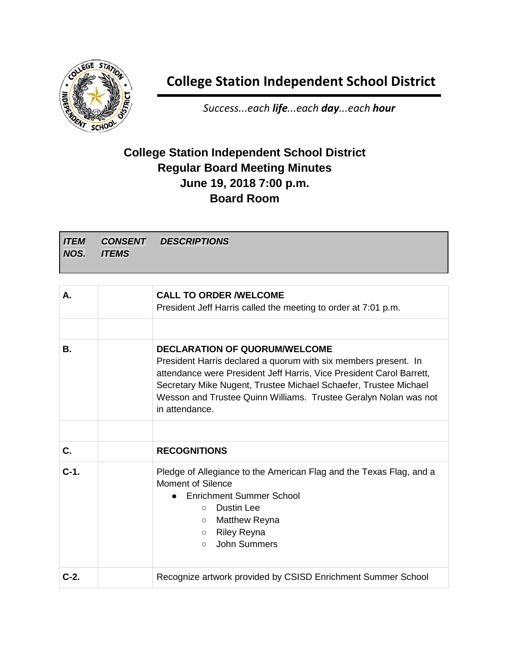

## **College Station Independent School District**

*Success...each life...each day...each hour*

## **College Station Independent School District Regular Board Meeting Minutes June 19, 2018 7:00 p.m. Board Room**

*ITEM NOS. CONSENT ITEMS DESCRIPTIONS*

| А.     | <b>CALL TO ORDER /WELCOME</b><br>President Jeff Harris called the meeting to order at 7:01 p.m.                                                                                                                                                                                                                                           |
|--------|-------------------------------------------------------------------------------------------------------------------------------------------------------------------------------------------------------------------------------------------------------------------------------------------------------------------------------------------|
| В.     | <b>DECLARATION OF QUORUM/WELCOME</b><br>President Harris declared a quorum with six members present. In<br>attendance were President Jeff Harris, Vice President Carol Barrett,<br>Secretary Mike Nugent, Trustee Michael Schaefer, Trustee Michael<br>Wesson and Trustee Quinn Williams. Trustee Geralyn Nolan was not<br>in attendance. |
| C.     |                                                                                                                                                                                                                                                                                                                                           |
|        | <b>RECOGNITIONS</b>                                                                                                                                                                                                                                                                                                                       |
| $C-1.$ | Pledge of Allegiance to the American Flag and the Texas Flag, and a<br>Moment of Silence<br>Enrichment Summer School<br>Dustin Lee<br>$\bigcirc$<br>Matthew Reyna<br>$\circ$<br><b>Riley Reyna</b><br>$\circ$<br>John Summers<br>$\circ$                                                                                                  |
| $C-2.$ | Recognize artwork provided by CSISD Enrichment Summer School                                                                                                                                                                                                                                                                              |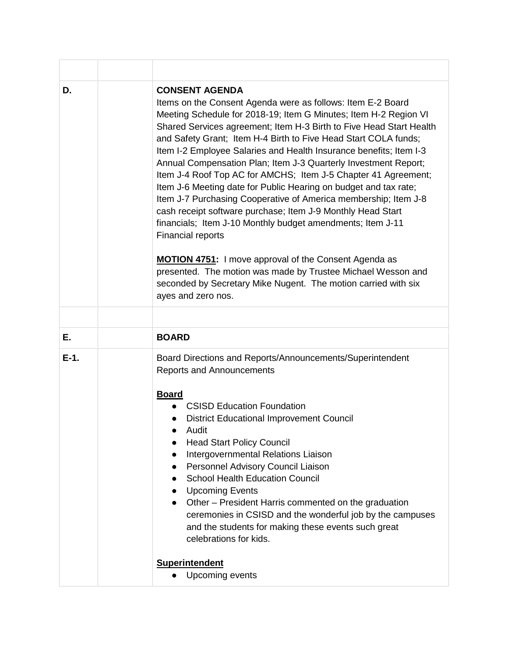| D.     | <b>CONSENT AGENDA</b><br>Items on the Consent Agenda were as follows: Item E-2 Board<br>Meeting Schedule for 2018-19; Item G Minutes; Item H-2 Region VI<br>Shared Services agreement; Item H-3 Birth to Five Head Start Health<br>and Safety Grant; Item H-4 Birth to Five Head Start COLA funds;<br>Item I-2 Employee Salaries and Health Insurance benefits; Item I-3<br>Annual Compensation Plan; Item J-3 Quarterly Investment Report;<br>Item J-4 Roof Top AC for AMCHS; Item J-5 Chapter 41 Agreement;<br>Item J-6 Meeting date for Public Hearing on budget and tax rate;<br>Item J-7 Purchasing Cooperative of America membership; Item J-8<br>cash receipt software purchase; Item J-9 Monthly Head Start<br>financials; Item J-10 Monthly budget amendments; Item J-11<br><b>Financial reports</b><br><b>MOTION 4751:</b> I move approval of the Consent Agenda as<br>presented. The motion was made by Trustee Michael Wesson and<br>seconded by Secretary Mike Nugent. The motion carried with six<br>ayes and zero nos. |
|--------|---------------------------------------------------------------------------------------------------------------------------------------------------------------------------------------------------------------------------------------------------------------------------------------------------------------------------------------------------------------------------------------------------------------------------------------------------------------------------------------------------------------------------------------------------------------------------------------------------------------------------------------------------------------------------------------------------------------------------------------------------------------------------------------------------------------------------------------------------------------------------------------------------------------------------------------------------------------------------------------------------------------------------------------|
| Е.     | <b>BOARD</b>                                                                                                                                                                                                                                                                                                                                                                                                                                                                                                                                                                                                                                                                                                                                                                                                                                                                                                                                                                                                                          |
| $E-1.$ | Board Directions and Reports/Announcements/Superintendent<br><b>Reports and Announcements</b><br><b>Board</b><br><b>CSISD Education Foundation</b><br><b>District Educational Improvement Council</b><br>Audit<br><b>Head Start Policy Council</b><br>Intergovernmental Relations Liaison<br>Personnel Advisory Council Liaison<br><b>School Health Education Council</b><br><b>Upcoming Events</b><br>Other – President Harris commented on the graduation<br>ceremonies in CSISD and the wonderful job by the campuses<br>and the students for making these events such great<br>celebrations for kids.                                                                                                                                                                                                                                                                                                                                                                                                                             |
|        | <b>Superintendent</b><br>Upcoming events                                                                                                                                                                                                                                                                                                                                                                                                                                                                                                                                                                                                                                                                                                                                                                                                                                                                                                                                                                                              |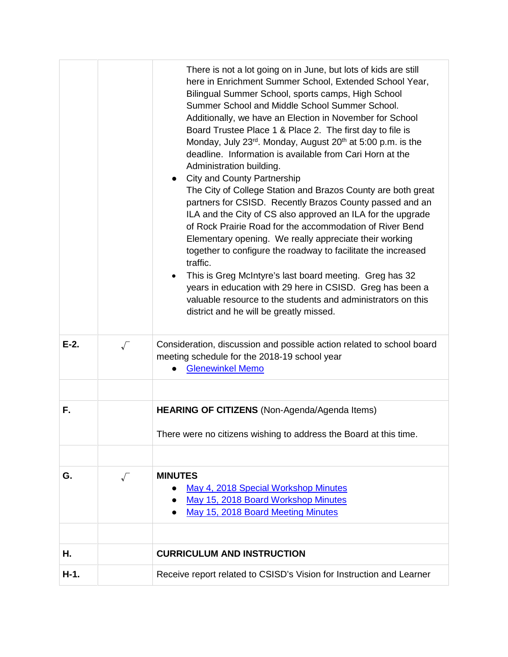|         |           | There is not a lot going on in June, but lots of kids are still<br>here in Enrichment Summer School, Extended School Year,<br>Bilingual Summer School, sports camps, High School<br>Summer School and Middle School Summer School.<br>Additionally, we have an Election in November for School<br>Board Trustee Place 1 & Place 2. The first day to file is<br>Monday, July 23 <sup>rd</sup> . Monday, August 20 <sup>th</sup> at 5:00 p.m. is the<br>deadline. Information is available from Cari Horn at the<br>Administration building.<br><b>City and County Partnership</b><br>The City of College Station and Brazos County are both great<br>partners for CSISD. Recently Brazos County passed and an<br>ILA and the City of CS also approved an ILA for the upgrade<br>of Rock Prairie Road for the accommodation of River Bend<br>Elementary opening. We really appreciate their working<br>together to configure the roadway to facilitate the increased<br>traffic.<br>This is Greg McIntyre's last board meeting. Greg has 32<br>years in education with 29 here in CSISD. Greg has been a<br>valuable resource to the students and administrators on this<br>district and he will be greatly missed. |
|---------|-----------|-------------------------------------------------------------------------------------------------------------------------------------------------------------------------------------------------------------------------------------------------------------------------------------------------------------------------------------------------------------------------------------------------------------------------------------------------------------------------------------------------------------------------------------------------------------------------------------------------------------------------------------------------------------------------------------------------------------------------------------------------------------------------------------------------------------------------------------------------------------------------------------------------------------------------------------------------------------------------------------------------------------------------------------------------------------------------------------------------------------------------------------------------------------------------------------------------------------------|
| $E-2$ . | $\sqrt{}$ | Consideration, discussion and possible action related to school board<br>meeting schedule for the 2018-19 school year<br><b>Glenewinkel Memo</b>                                                                                                                                                                                                                                                                                                                                                                                                                                                                                                                                                                                                                                                                                                                                                                                                                                                                                                                                                                                                                                                                  |
|         |           |                                                                                                                                                                                                                                                                                                                                                                                                                                                                                                                                                                                                                                                                                                                                                                                                                                                                                                                                                                                                                                                                                                                                                                                                                   |
| F.      |           | HEARING OF CITIZENS (Non-Agenda/Agenda Items)                                                                                                                                                                                                                                                                                                                                                                                                                                                                                                                                                                                                                                                                                                                                                                                                                                                                                                                                                                                                                                                                                                                                                                     |
|         |           | There were no citizens wishing to address the Board at this time.                                                                                                                                                                                                                                                                                                                                                                                                                                                                                                                                                                                                                                                                                                                                                                                                                                                                                                                                                                                                                                                                                                                                                 |
|         |           |                                                                                                                                                                                                                                                                                                                                                                                                                                                                                                                                                                                                                                                                                                                                                                                                                                                                                                                                                                                                                                                                                                                                                                                                                   |
| G.      | $\sqrt{}$ | <b>MINUTES</b><br>May 4, 2018 Special Workshop Minutes<br>May 15, 2018 Board Workshop Minutes<br>May 15, 2018 Board Meeting Minutes                                                                                                                                                                                                                                                                                                                                                                                                                                                                                                                                                                                                                                                                                                                                                                                                                                                                                                                                                                                                                                                                               |
|         |           | <b>CURRICULUM AND INSTRUCTION</b>                                                                                                                                                                                                                                                                                                                                                                                                                                                                                                                                                                                                                                                                                                                                                                                                                                                                                                                                                                                                                                                                                                                                                                                 |
| Η.      |           |                                                                                                                                                                                                                                                                                                                                                                                                                                                                                                                                                                                                                                                                                                                                                                                                                                                                                                                                                                                                                                                                                                                                                                                                                   |
| $H-1.$  |           | Receive report related to CSISD's Vision for Instruction and Learner                                                                                                                                                                                                                                                                                                                                                                                                                                                                                                                                                                                                                                                                                                                                                                                                                                                                                                                                                                                                                                                                                                                                              |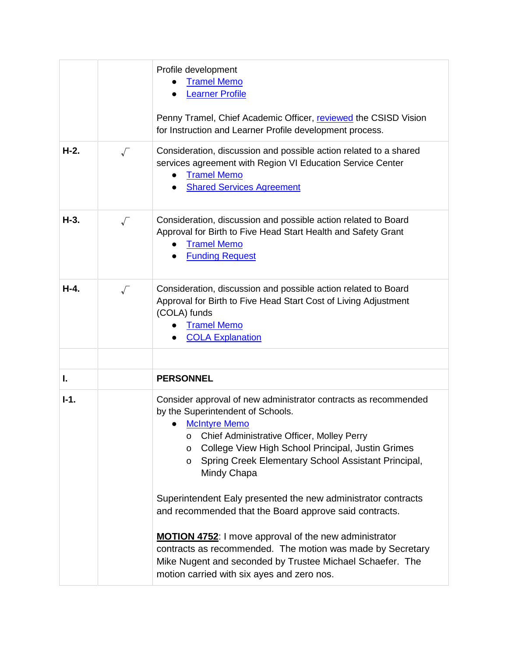|        |                      | Profile development<br><b>Tramel Memo</b><br><b>Learner Profile</b><br>Penny Tramel, Chief Academic Officer, reviewed the CSISD Vision<br>for Instruction and Learner Profile development process.                                                                                                                         |
|--------|----------------------|----------------------------------------------------------------------------------------------------------------------------------------------------------------------------------------------------------------------------------------------------------------------------------------------------------------------------|
| $H-2.$ | $\sqrt{}$            | Consideration, discussion and possible action related to a shared<br>services agreement with Region VI Education Service Center<br><b>Tramel Memo</b><br><b>Shared Services Agreement</b>                                                                                                                                  |
| $H-3.$ | $\sqrt{}$            | Consideration, discussion and possible action related to Board<br>Approval for Birth to Five Head Start Health and Safety Grant<br><b>Tramel Memo</b><br><b>Funding Request</b>                                                                                                                                            |
| $H-4.$ | $\sqrt{\phantom{a}}$ | Consideration, discussion and possible action related to Board<br>Approval for Birth to Five Head Start Cost of Living Adjustment<br>(COLA) funds<br><b>Tramel Memo</b><br><b>COLA Explanation</b>                                                                                                                         |
|        |                      |                                                                                                                                                                                                                                                                                                                            |
| I.     |                      | <b>PERSONNEL</b>                                                                                                                                                                                                                                                                                                           |
| $I-1.$ |                      | Consider approval of new administrator contracts as recommended<br>by the Superintendent of Schools.<br><b>McIntyre Memo</b><br>Chief Administrative Officer, Molley Perry<br>O<br>College View High School Principal, Justin Grimes<br>$\circ$<br>Spring Creek Elementary School Assistant Principal,<br>O<br>Mindy Chapa |
|        |                      | Superintendent Ealy presented the new administrator contracts<br>and recommended that the Board approve said contracts.                                                                                                                                                                                                    |
|        |                      | <b>MOTION 4752:</b> I move approval of the new administrator<br>contracts as recommended. The motion was made by Secretary<br>Mike Nugent and seconded by Trustee Michael Schaefer. The<br>motion carried with six ayes and zero nos.                                                                                      |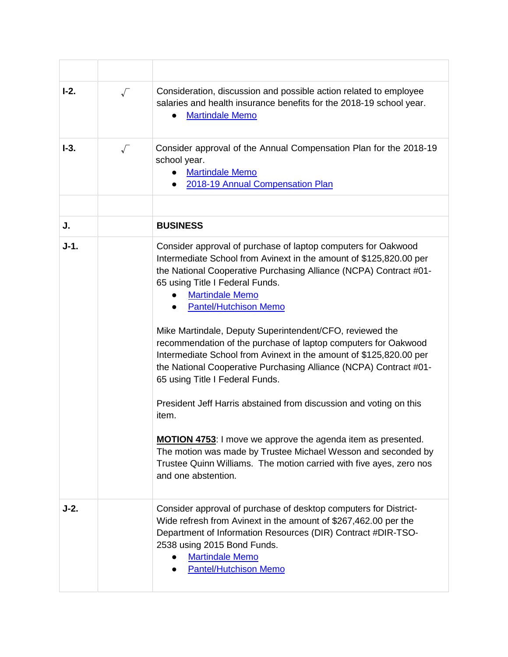| $I-2.$ | $\sqrt{}$ | Consideration, discussion and possible action related to employee<br>salaries and health insurance benefits for the 2018-19 school year.<br><b>Martindale Memo</b>                                                                                                                                                                                                                                                                                                                                                                                                                                                                                                                                                                                                                                                                                                                                                                     |
|--------|-----------|----------------------------------------------------------------------------------------------------------------------------------------------------------------------------------------------------------------------------------------------------------------------------------------------------------------------------------------------------------------------------------------------------------------------------------------------------------------------------------------------------------------------------------------------------------------------------------------------------------------------------------------------------------------------------------------------------------------------------------------------------------------------------------------------------------------------------------------------------------------------------------------------------------------------------------------|
| $I-3.$ |           | Consider approval of the Annual Compensation Plan for the 2018-19<br>school year.<br><b>Martindale Memo</b><br>2018-19 Annual Compensation Plan                                                                                                                                                                                                                                                                                                                                                                                                                                                                                                                                                                                                                                                                                                                                                                                        |
|        |           |                                                                                                                                                                                                                                                                                                                                                                                                                                                                                                                                                                                                                                                                                                                                                                                                                                                                                                                                        |
| J.     |           | <b>BUSINESS</b>                                                                                                                                                                                                                                                                                                                                                                                                                                                                                                                                                                                                                                                                                                                                                                                                                                                                                                                        |
| $J-1.$ |           | Consider approval of purchase of laptop computers for Oakwood<br>Intermediate School from Avinext in the amount of \$125,820.00 per<br>the National Cooperative Purchasing Alliance (NCPA) Contract #01-<br>65 using Title I Federal Funds.<br><b>Martindale Memo</b><br><b>Pantel/Hutchison Memo</b><br>Mike Martindale, Deputy Superintendent/CFO, reviewed the<br>recommendation of the purchase of laptop computers for Oakwood<br>Intermediate School from Avinext in the amount of \$125,820.00 per<br>the National Cooperative Purchasing Alliance (NCPA) Contract #01-<br>65 using Title I Federal Funds.<br>President Jeff Harris abstained from discussion and voting on this<br>item.<br><b>MOTION 4753:</b> I move we approve the agenda item as presented.<br>The motion was made by Trustee Michael Wesson and seconded by<br>Trustee Quinn Williams. The motion carried with five ayes, zero nos<br>and one abstention. |
| $J-2.$ |           | Consider approval of purchase of desktop computers for District-<br>Wide refresh from Avinext in the amount of \$267,462.00 per the<br>Department of Information Resources (DIR) Contract #DIR-TSO-<br>2538 using 2015 Bond Funds.<br><b>Martindale Memo</b><br><b>Pantel/Hutchison Memo</b>                                                                                                                                                                                                                                                                                                                                                                                                                                                                                                                                                                                                                                           |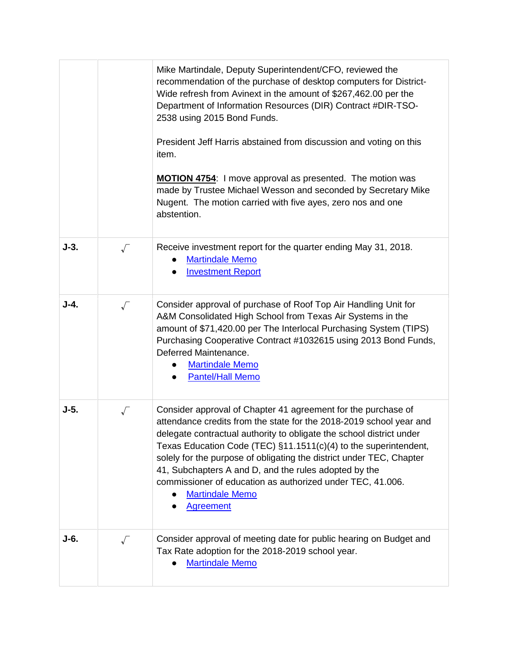|        |           | Mike Martindale, Deputy Superintendent/CFO, reviewed the<br>recommendation of the purchase of desktop computers for District-<br>Wide refresh from Avinext in the amount of \$267,462.00 per the<br>Department of Information Resources (DIR) Contract #DIR-TSO-<br>2538 using 2015 Bond Funds.<br>President Jeff Harris abstained from discussion and voting on this<br>item.<br>MOTION 4754: I move approval as presented. The motion was<br>made by Trustee Michael Wesson and seconded by Secretary Mike<br>Nugent. The motion carried with five ayes, zero nos and one<br>abstention. |
|--------|-----------|--------------------------------------------------------------------------------------------------------------------------------------------------------------------------------------------------------------------------------------------------------------------------------------------------------------------------------------------------------------------------------------------------------------------------------------------------------------------------------------------------------------------------------------------------------------------------------------------|
| $J-3.$ | $\sqrt{}$ | Receive investment report for the quarter ending May 31, 2018.<br><b>Martindale Memo</b><br><b>Investment Report</b>                                                                                                                                                                                                                                                                                                                                                                                                                                                                       |
| $J-4.$ | $\sqrt{}$ | Consider approval of purchase of Roof Top Air Handling Unit for<br>A&M Consolidated High School from Texas Air Systems in the<br>amount of \$71,420.00 per The Interlocal Purchasing System (TIPS)<br>Purchasing Cooperative Contract #1032615 using 2013 Bond Funds,<br>Deferred Maintenance.<br><b>Martindale Memo</b><br><b>Pantel/Hall Memo</b>                                                                                                                                                                                                                                        |
| J-5.   | $\sqrt{}$ | Consider approval of Chapter 41 agreement for the purchase of<br>attendance credits from the state for the 2018-2019 school year and<br>delegate contractual authority to obligate the school district under<br>Texas Education Code (TEC) §11.1511(c)(4) to the superintendent,<br>solely for the purpose of obligating the district under TEC, Chapter<br>41, Subchapters A and D, and the rules adopted by the<br>commissioner of education as authorized under TEC, 41.006.<br><b>Martindale Memo</b><br><b>Agreement</b>                                                              |
| J-6.   | $\sqrt{}$ | Consider approval of meeting date for public hearing on Budget and<br>Tax Rate adoption for the 2018-2019 school year.<br><b>Martindale Memo</b>                                                                                                                                                                                                                                                                                                                                                                                                                                           |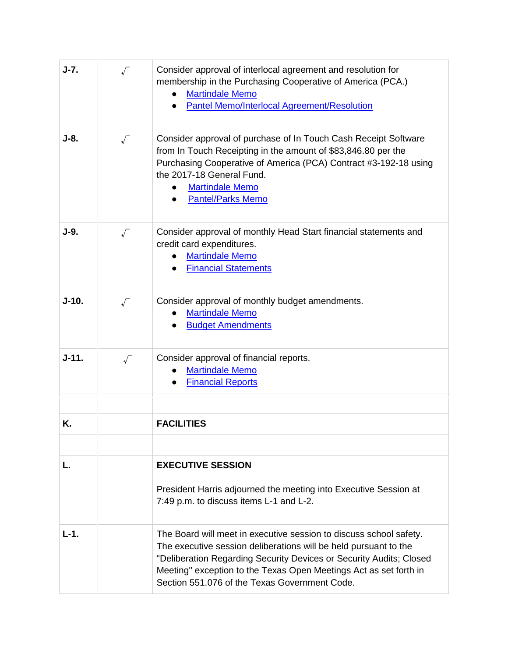| $J-7.$  | $\sqrt{ }$           | Consider approval of interlocal agreement and resolution for<br>membership in the Purchasing Cooperative of America (PCA.)<br><b>Martindale Memo</b><br><b>Pantel Memo/Interlocal Agreement/Resolution</b>                                                                                                                          |
|---------|----------------------|-------------------------------------------------------------------------------------------------------------------------------------------------------------------------------------------------------------------------------------------------------------------------------------------------------------------------------------|
| $J-8.$  | $\sqrt{}$            | Consider approval of purchase of In Touch Cash Receipt Software<br>from In Touch Receipting in the amount of \$83,846.80 per the<br>Purchasing Cooperative of America (PCA) Contract #3-192-18 using<br>the 2017-18 General Fund.<br><b>Martindale Memo</b><br>$\bullet$<br><b>Pantel/Parks Memo</b>                                |
| $J-9.$  | $\sqrt{}$            | Consider approval of monthly Head Start financial statements and<br>credit card expenditures.<br><b>Martindale Memo</b><br><b>Financial Statements</b>                                                                                                                                                                              |
| $J-10.$ | $\sqrt{}$            | Consider approval of monthly budget amendments.<br><b>Martindale Memo</b><br><b>Budget Amendments</b>                                                                                                                                                                                                                               |
| $J-11.$ | $\sqrt{\phantom{a}}$ | Consider approval of financial reports.<br><b>Martindale Memo</b><br><b>Financial Reports</b>                                                                                                                                                                                                                                       |
| Κ.      |                      | <b>FACILITIES</b>                                                                                                                                                                                                                                                                                                                   |
| L.      |                      | <b>EXECUTIVE SESSION</b><br>President Harris adjourned the meeting into Executive Session at<br>7:49 p.m. to discuss items L-1 and L-2.                                                                                                                                                                                             |
| $L-1.$  |                      | The Board will meet in executive session to discuss school safety.<br>The executive session deliberations will be held pursuant to the<br>"Deliberation Regarding Security Devices or Security Audits; Closed<br>Meeting" exception to the Texas Open Meetings Act as set forth in<br>Section 551,076 of the Texas Government Code. |